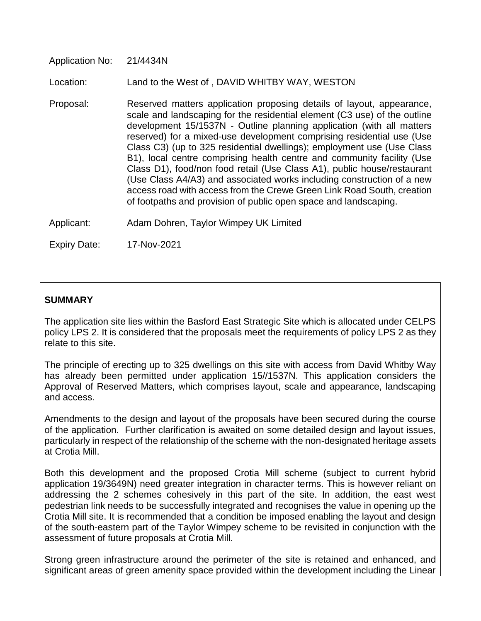Application No: 21/4434N

Location: Land to the West of , DAVID WHITBY WAY, WESTON

- Proposal: Reserved matters application proposing details of layout, appearance, scale and landscaping for the residential element (C3 use) of the outline development 15/1537N - Outline planning application (with all matters reserved) for a mixed-use development comprising residential use (Use Class C3) (up to 325 residential dwellings); employment use (Use Class B1), local centre comprising health centre and community facility (Use Class D1), food/non food retail (Use Class A1), public house/restaurant (Use Class A4/A3) and associated works including construction of a new access road with access from the Crewe Green Link Road South, creation of footpaths and provision of public open space and landscaping.
- Applicant: Adam Dohren, Taylor Wimpey UK Limited

Expiry Date: 17-Nov-2021

### **SUMMARY**

The application site lies within the Basford East Strategic Site which is allocated under CELPS policy LPS 2. It is considered that the proposals meet the requirements of policy LPS 2 as they relate to this site.

The principle of erecting up to 325 dwellings on this site with access from David Whitby Way has already been permitted under application 15//1537N. This application considers the Approval of Reserved Matters, which comprises layout, scale and appearance, landscaping and access.

Amendments to the design and layout of the proposals have been secured during the course of the application. Further clarification is awaited on some detailed design and layout issues, particularly in respect of the relationship of the scheme with the non-designated heritage assets at Crotia Mill.

Both this development and the proposed Crotia Mill scheme (subject to current hybrid application 19/3649N) need greater integration in character terms. This is however reliant on addressing the 2 schemes cohesively in this part of the site. In addition, the east west pedestrian link needs to be successfully integrated and recognises the value in opening up the Crotia Mill site. It is recommended that a condition be imposed enabling the layout and design of the south-eastern part of the Taylor Wimpey scheme to be revisited in conjunction with the assessment of future proposals at Crotia Mill.

Strong green infrastructure around the perimeter of the site is retained and enhanced, and significant areas of green amenity space provided within the development including the Linear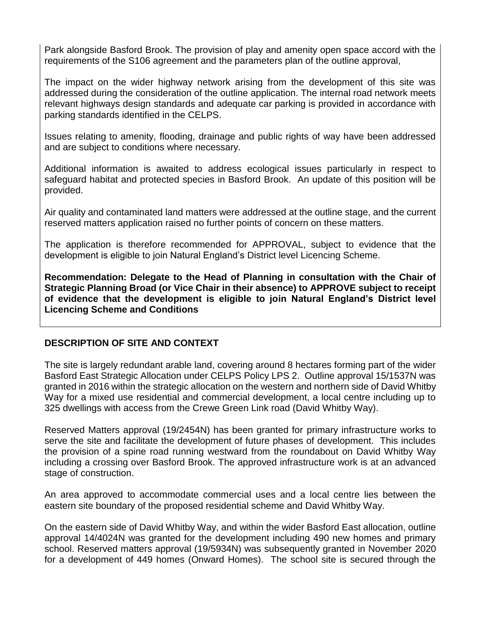Park alongside Basford Brook. The provision of play and amenity open space accord with the requirements of the S106 agreement and the parameters plan of the outline approval,

The impact on the wider highway network arising from the development of this site was addressed during the consideration of the outline application. The internal road network meets relevant highways design standards and adequate car parking is provided in accordance with parking standards identified in the CELPS.

Issues relating to amenity, flooding, drainage and public rights of way have been addressed and are subject to conditions where necessary.

Additional information is awaited to address ecological issues particularly in respect to safeguard habitat and protected species in Basford Brook. An update of this position will be provided.

Air quality and contaminated land matters were addressed at the outline stage, and the current reserved matters application raised no further points of concern on these matters.

The application is therefore recommended for APPROVAL, subject to evidence that the development is eligible to join Natural England's District level Licencing Scheme.

**Recommendation: Delegate to the Head of Planning in consultation with the Chair of Strategic Planning Broad (or Vice Chair in their absence) to APPROVE subject to receipt of evidence that the development is eligible to join Natural England's District level Licencing Scheme and Conditions** 

## **DESCRIPTION OF SITE AND CONTEXT**

The site is largely redundant arable land, covering around 8 hectares forming part of the wider Basford East Strategic Allocation under CELPS Policy LPS 2. Outline approval 15/1537N was granted in 2016 within the strategic allocation on the western and northern side of David Whitby Way for a mixed use residential and commercial development, a local centre including up to 325 dwellings with access from the Crewe Green Link road (David Whitby Way).

Reserved Matters approval (19/2454N) has been granted for primary infrastructure works to serve the site and facilitate the development of future phases of development. This includes the provision of a spine road running westward from the roundabout on David Whitby Way including a crossing over Basford Brook. The approved infrastructure work is at an advanced stage of construction.

An area approved to accommodate commercial uses and a local centre lies between the eastern site boundary of the proposed residential scheme and David Whitby Way.

On the eastern side of David Whitby Way, and within the wider Basford East allocation, outline approval 14/4024N was granted for the development including 490 new homes and primary school. Reserved matters approval (19/5934N) was subsequently granted in November 2020 for a development of 449 homes (Onward Homes). The school site is secured through the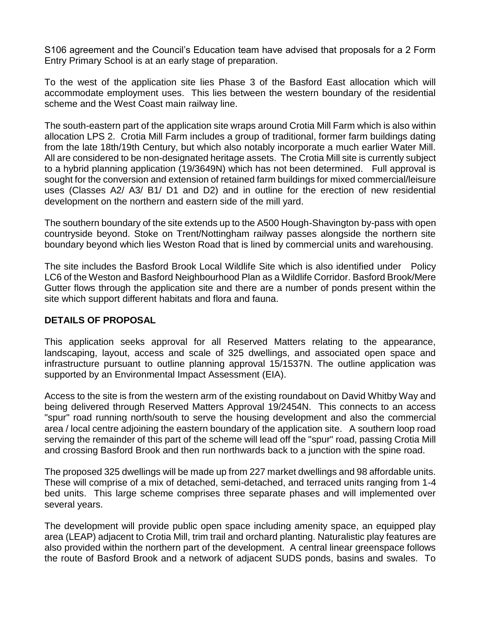S106 agreement and the Council's Education team have advised that proposals for a 2 Form Entry Primary School is at an early stage of preparation.

To the west of the application site lies Phase 3 of the Basford East allocation which will accommodate employment uses. This lies between the western boundary of the residential scheme and the West Coast main railway line.

The south-eastern part of the application site wraps around Crotia Mill Farm which is also within allocation LPS 2. Crotia Mill Farm includes a group of traditional, former farm buildings dating from the late 18th/19th Century, but which also notably incorporate a much earlier Water Mill. All are considered to be non-designated heritage assets. The Crotia Mill site is currently subject to a hybrid planning application (19/3649N) which has not been determined. Full approval is sought for the conversion and extension of retained farm buildings for mixed commercial/leisure uses (Classes A2/ A3/ B1/ D1 and D2) and in outline for the erection of new residential development on the northern and eastern side of the mill yard.

The southern boundary of the site extends up to the A500 Hough-Shavington by-pass with open countryside beyond. Stoke on Trent/Nottingham railway passes alongside the northern site boundary beyond which lies Weston Road that is lined by commercial units and warehousing.

The site includes the Basford Brook Local Wildlife Site which is also identified under Policy LC6 of the Weston and Basford Neighbourhood Plan as a Wildlife Corridor. Basford Brook/Mere Gutter flows through the application site and there are a number of ponds present within the site which support different habitats and flora and fauna.

## **DETAILS OF PROPOSAL**

This application seeks approval for all Reserved Matters relating to the appearance, landscaping, layout, access and scale of 325 dwellings, and associated open space and infrastructure pursuant to outline planning approval 15/1537N. The outline application was supported by an Environmental Impact Assessment (EIA).

Access to the site is from the western arm of the existing roundabout on David Whitby Way and being delivered through Reserved Matters Approval 19/2454N. This connects to an access "spur" road running north/south to serve the housing development and also the commercial area / local centre adjoining the eastern boundary of the application site. A southern loop road serving the remainder of this part of the scheme will lead off the "spur" road, passing Crotia Mill and crossing Basford Brook and then run northwards back to a junction with the spine road.

The proposed 325 dwellings will be made up from 227 market dwellings and 98 affordable units. These will comprise of a mix of detached, semi-detached, and terraced units ranging from 1-4 bed units. This large scheme comprises three separate phases and will implemented over several years.

The development will provide public open space including amenity space, an equipped play area (LEAP) adjacent to Crotia Mill, trim trail and orchard planting. Naturalistic play features are also provided within the northern part of the development. A central linear greenspace follows the route of Basford Brook and a network of adjacent SUDS ponds, basins and swales. To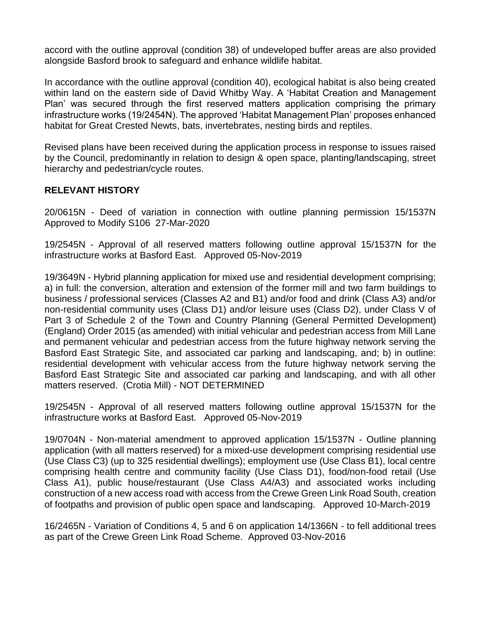accord with the outline approval (condition 38) of undeveloped buffer areas are also provided alongside Basford brook to safeguard and enhance wildlife habitat.

In accordance with the outline approval (condition 40), ecological habitat is also being created within land on the eastern side of David Whitby Way. A 'Habitat Creation and Management Plan' was secured through the first reserved matters application comprising the primary infrastructure works (19/2454N). The approved 'Habitat Management Plan' proposes enhanced habitat for Great Crested Newts, bats, invertebrates, nesting birds and reptiles.

Revised plans have been received during the application process in response to issues raised by the Council, predominantly in relation to design & open space, planting/landscaping, street hierarchy and pedestrian/cycle routes.

## **RELEVANT HISTORY**

20/0615N - Deed of variation in connection with outline planning permission 15/1537N Approved to Modify S106 27-Mar-2020

19/2545N - Approval of all reserved matters following outline approval 15/1537N for the infrastructure works at Basford East. Approved 05-Nov-2019

19/3649N - Hybrid planning application for mixed use and residential development comprising; a) in full: the conversion, alteration and extension of the former mill and two farm buildings to business / professional services (Classes A2 and B1) and/or food and drink (Class A3) and/or non-residential community uses (Class D1) and/or leisure uses (Class D2), under Class V of Part 3 of Schedule 2 of the Town and Country Planning (General Permitted Development) (England) Order 2015 (as amended) with initial vehicular and pedestrian access from Mill Lane and permanent vehicular and pedestrian access from the future highway network serving the Basford East Strategic Site, and associated car parking and landscaping, and; b) in outline: residential development with vehicular access from the future highway network serving the Basford East Strategic Site and associated car parking and landscaping, and with all other matters reserved. (Crotia Mill) - NOT DETERMINED

19/2545N - Approval of all reserved matters following outline approval 15/1537N for the infrastructure works at Basford East. Approved 05-Nov-2019

19/0704N - Non-material amendment to approved application 15/1537N - Outline planning application (with all matters reserved) for a mixed-use development comprising residential use (Use Class C3) (up to 325 residential dwellings); employment use (Use Class B1), local centre comprising health centre and community facility (Use Class D1), food/non-food retail (Use Class A1), public house/restaurant (Use Class A4/A3) and associated works including construction of a new access road with access from the Crewe Green Link Road South, creation of footpaths and provision of public open space and landscaping. Approved 10-March-2019

16/2465N - Variation of Conditions 4, 5 and 6 on application 14/1366N - to fell additional trees as part of the Crewe Green Link Road Scheme. Approved 03-Nov-2016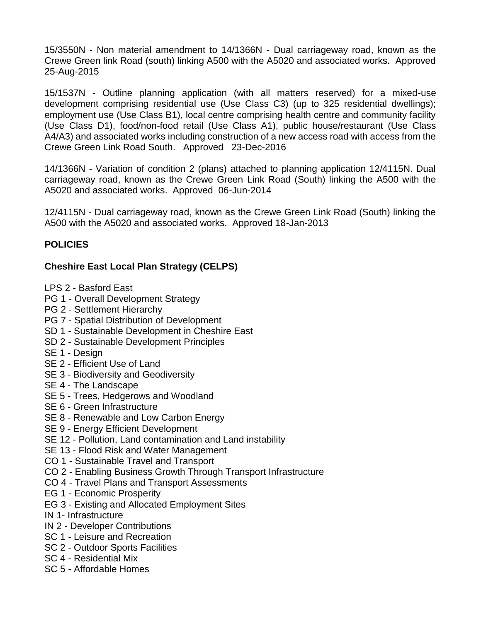15/3550N - Non material amendment to 14/1366N - Dual carriageway road, known as the Crewe Green link Road (south) linking A500 with the A5020 and associated works. Approved 25-Aug-2015

15/1537N - Outline planning application (with all matters reserved) for a mixed-use development comprising residential use (Use Class C3) (up to 325 residential dwellings); employment use (Use Class B1), local centre comprising health centre and community facility (Use Class D1), food/non-food retail (Use Class A1), public house/restaurant (Use Class A4/A3) and associated works including construction of a new access road with access from the Crewe Green Link Road South. Approved 23-Dec-2016

14/1366N - Variation of condition 2 (plans) attached to planning application 12/4115N. Dual carriageway road, known as the Crewe Green Link Road (South) linking the A500 with the A5020 and associated works. Approved 06-Jun-2014

12/4115N - Dual carriageway road, known as the Crewe Green Link Road (South) linking the A500 with the A5020 and associated works. Approved 18-Jan-2013

# **POLICIES**

# **Cheshire East Local Plan Strategy (CELPS)**

LPS 2 - Basford East

- PG 1 Overall Development Strategy
- PG 2 Settlement Hierarchy
- PG 7 Spatial Distribution of Development
- SD 1 Sustainable Development in Cheshire East
- SD 2 Sustainable Development Principles
- SE 1 Design
- SE 2 Efficient Use of Land
- SE 3 Biodiversity and Geodiversity
- SE 4 The Landscape
- SE 5 Trees, Hedgerows and Woodland
- SE 6 Green Infrastructure
- SE 8 Renewable and Low Carbon Energy
- SE 9 Energy Efficient Development
- SE 12 Pollution, Land contamination and Land instability
- SE 13 Flood Risk and Water Management
- CO 1 Sustainable Travel and Transport
- CO 2 Enabling Business Growth Through Transport Infrastructure
- CO 4 Travel Plans and Transport Assessments
- EG 1 Economic Prosperity
- EG 3 Existing and Allocated Employment Sites
- IN 1- Infrastructure
- IN 2 Developer Contributions
- SC 1 Leisure and Recreation
- SC 2 Outdoor Sports Facilities
- SC 4 Residential Mix
- SC 5 Affordable Homes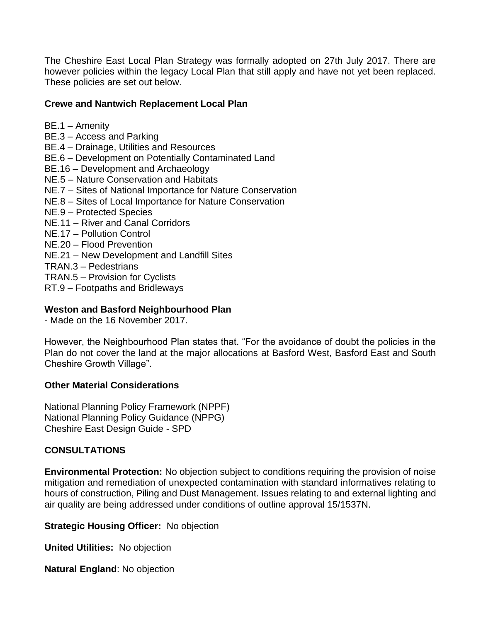The Cheshire East Local Plan Strategy was formally adopted on 27th July 2017. There are however policies within the legacy Local Plan that still apply and have not yet been replaced. These policies are set out below.

## **Crewe and Nantwich Replacement Local Plan**

- BE.1 Amenity BE.3 – Access and Parking BE.4 – Drainage, Utilities and Resources BE.6 – Development on Potentially Contaminated Land BE.16 – Development and Archaeology NE.5 – Nature Conservation and Habitats NE.7 – Sites of National Importance for Nature Conservation NE.8 – Sites of Local Importance for Nature Conservation NE.9 – Protected Species NE.11 – River and Canal Corridors NE.17 – Pollution Control NE.20 – Flood Prevention NE.21 – New Development and Landfill Sites TRAN.3 – Pedestrians TRAN.5 – Provision for Cyclists
- RT.9 Footpaths and Bridleways

# **Weston and Basford Neighbourhood Plan**

- Made on the 16 November 2017.

However, the Neighbourhood Plan states that. "For the avoidance of doubt the policies in the Plan do not cover the land at the major allocations at Basford West, Basford East and South Cheshire Growth Village".

# **Other Material Considerations**

National Planning Policy Framework (NPPF) National Planning Policy Guidance (NPPG) Cheshire East Design Guide - SPD

# **CONSULTATIONS**

**Environmental Protection:** No objection subject to conditions requiring the provision of noise mitigation and remediation of unexpected contamination with standard informatives relating to hours of construction, Piling and Dust Management. Issues relating to and external lighting and air quality are being addressed under conditions of outline approval 15/1537N.

**Strategic Housing Officer:** No objection

**United Utilities:** No objection

**Natural England**: No objection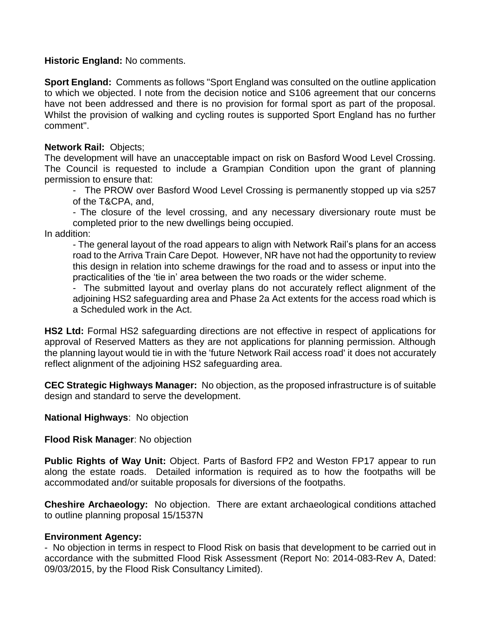### **Historic England:** No comments.

**Sport England:** Comments as follows "Sport England was consulted on the outline application to which we objected. I note from the decision notice and S106 agreement that our concerns have not been addressed and there is no provision for formal sport as part of the proposal. Whilst the provision of walking and cycling routes is supported Sport England has no further comment".

### **Network Rail:** Objects;

The development will have an unacceptable impact on risk on Basford Wood Level Crossing. The Council is requested to include a Grampian Condition upon the grant of planning permission to ensure that:

- The PROW over Basford Wood Level Crossing is permanently stopped up via s257 of the T&CPA, and,

- The closure of the level crossing, and any necessary diversionary route must be completed prior to the new dwellings being occupied.

In addition:

- The general layout of the road appears to align with Network Rail's plans for an access road to the Arriva Train Care Depot. However, NR have not had the opportunity to review this design in relation into scheme drawings for the road and to assess or input into the practicalities of the 'tie in' area between the two roads or the wider scheme.

- The submitted layout and overlay plans do not accurately reflect alignment of the adjoining HS2 safeguarding area and Phase 2a Act extents for the access road which is a Scheduled work in the Act.

**HS2 Ltd:** Formal HS2 safeguarding directions are not effective in respect of applications for approval of Reserved Matters as they are not applications for planning permission. Although the planning layout would tie in with the 'future Network Rail access road' it does not accurately reflect alignment of the adjoining HS2 safeguarding area.

**CEC Strategic Highways Manager:** No objection, as the proposed infrastructure is of suitable design and standard to serve the development.

## **National Highways**: No objection

## **Flood Risk Manager**: No objection

**Public Rights of Way Unit:** Object. Parts of Basford FP2 and Weston FP17 appear to run along the estate roads. Detailed information is required as to how the footpaths will be accommodated and/or suitable proposals for diversions of the footpaths.

**Cheshire Archaeology:** No objection. There are extant archaeological conditions attached to outline planning proposal 15/1537N

## **Environment Agency:**

- No objection in terms in respect to Flood Risk on basis that development to be carried out in accordance with the submitted Flood Risk Assessment (Report No: 2014-083-Rev A, Dated: 09/03/2015, by the Flood Risk Consultancy Limited).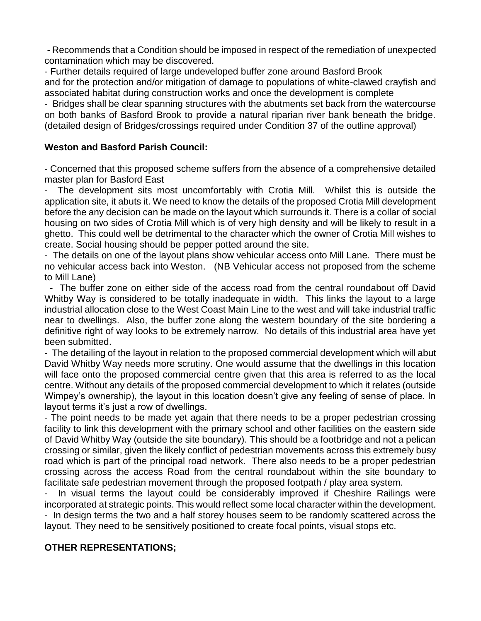- Recommends that a Condition should be imposed in respect of the remediation of unexpected contamination which may be discovered.

- Further details required of large undeveloped buffer zone around Basford Brook and for the protection and/or mitigation of damage to populations of white-clawed crayfish and associated habitat during construction works and once the development is complete

- Bridges shall be clear spanning structures with the abutments set back from the watercourse on both banks of Basford Brook to provide a natural riparian river bank beneath the bridge. (detailed design of Bridges/crossings required under Condition 37 of the outline approval)

## **Weston and Basford Parish Council:**

- Concerned that this proposed scheme suffers from the absence of a comprehensive detailed master plan for Basford East

The development sits most uncomfortably with Crotia Mill. Whilst this is outside the application site, it abuts it. We need to know the details of the proposed Crotia Mill development before the any decision can be made on the layout which surrounds it. There is a collar of social housing on two sides of Crotia Mill which is of very high density and will be likely to result in a ghetto. This could well be detrimental to the character which the owner of Crotia Mill wishes to create. Social housing should be pepper potted around the site.

- The details on one of the layout plans show vehicular access onto Mill Lane. There must be no vehicular access back into Weston. (NB Vehicular access not proposed from the scheme to Mill Lane)

 - The buffer zone on either side of the access road from the central roundabout off David Whitby Way is considered to be totally inadequate in width. This links the layout to a large industrial allocation close to the West Coast Main Line to the west and will take industrial traffic near to dwellings. Also, the buffer zone along the western boundary of the site bordering a definitive right of way looks to be extremely narrow. No details of this industrial area have yet been submitted.

- The detailing of the layout in relation to the proposed commercial development which will abut David Whitby Way needs more scrutiny. One would assume that the dwellings in this location will face onto the proposed commercial centre given that this area is referred to as the local centre. Without any details of the proposed commercial development to which it relates (outside Wimpey's ownership), the layout in this location doesn't give any feeling of sense of place. In layout terms it's just a row of dwellings.

- The point needs to be made yet again that there needs to be a proper pedestrian crossing facility to link this development with the primary school and other facilities on the eastern side of David Whitby Way (outside the site boundary). This should be a footbridge and not a pelican crossing or similar, given the likely conflict of pedestrian movements across this extremely busy road which is part of the principal road network. There also needs to be a proper pedestrian crossing across the access Road from the central roundabout within the site boundary to facilitate safe pedestrian movement through the proposed footpath / play area system.

In visual terms the layout could be considerably improved if Cheshire Railings were incorporated at strategic points. This would reflect some local character within the development. - In design terms the two and a half storey houses seem to be randomly scattered across the layout. They need to be sensitively positioned to create focal points, visual stops etc.

## **OTHER REPRESENTATIONS;**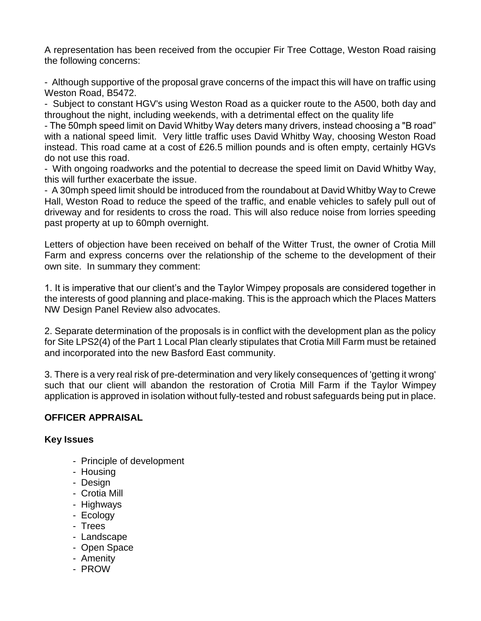A representation has been received from the occupier Fir Tree Cottage, Weston Road raising the following concerns:

- Although supportive of the proposal grave concerns of the impact this will have on traffic using Weston Road, B5472.

- Subject to constant HGV's using Weston Road as a quicker route to the A500, both day and throughout the night, including weekends, with a detrimental effect on the quality life

- The 50mph speed limit on David Whitby Way deters many drivers, instead choosing a "B road" with a national speed limit. Very little traffic uses David Whitby Way, choosing Weston Road instead. This road came at a cost of £26.5 million pounds and is often empty, certainly HGVs do not use this road.

- With ongoing roadworks and the potential to decrease the speed limit on David Whitby Way, this will further exacerbate the issue.

- A 30mph speed limit should be introduced from the roundabout at David Whitby Way to Crewe Hall, Weston Road to reduce the speed of the traffic, and enable vehicles to safely pull out of driveway and for residents to cross the road. This will also reduce noise from lorries speeding past property at up to 60mph overnight.

Letters of objection have been received on behalf of the Witter Trust, the owner of Crotia Mill Farm and express concerns over the relationship of the scheme to the development of their own site. In summary they comment:

1. It is imperative that our client's and the Taylor Wimpey proposals are considered together in the interests of good planning and place-making. This is the approach which the Places Matters NW Design Panel Review also advocates.

2. Separate determination of the proposals is in conflict with the development plan as the policy for Site LPS2(4) of the Part 1 Local Plan clearly stipulates that Crotia Mill Farm must be retained and incorporated into the new Basford East community.

3. There is a very real risk of pre-determination and very likely consequences of 'getting it wrong' such that our client will abandon the restoration of Crotia Mill Farm if the Taylor Wimpey application is approved in isolation without fully-tested and robust safeguards being put in place.

# **OFFICER APPRAISAL**

## **Key Issues**

- Principle of development
- Housing
- Design
- Crotia Mill
- Highways
- Ecology
- Trees
- Landscape
- Open Space
- Amenity
- PROW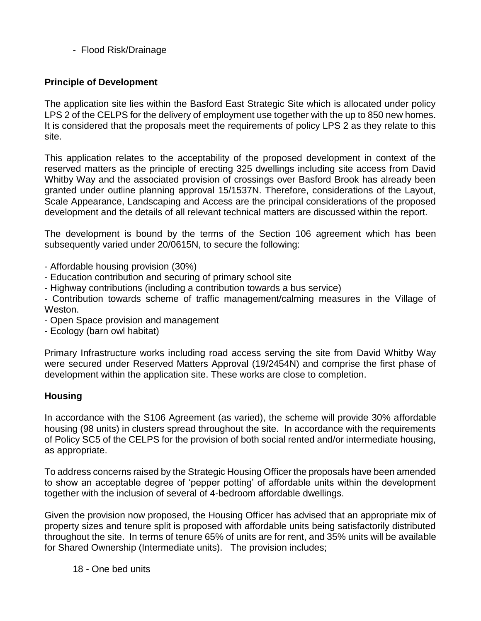- Flood Risk/Drainage

## **Principle of Development**

The application site lies within the Basford East Strategic Site which is allocated under policy LPS 2 of the CELPS for the delivery of employment use together with the up to 850 new homes. It is considered that the proposals meet the requirements of policy LPS 2 as they relate to this site.

This application relates to the acceptability of the proposed development in context of the reserved matters as the principle of erecting 325 dwellings including site access from David Whitby Way and the associated provision of crossings over Basford Brook has already been granted under outline planning approval 15/1537N. Therefore, considerations of the Layout, Scale Appearance, Landscaping and Access are the principal considerations of the proposed development and the details of all relevant technical matters are discussed within the report.

The development is bound by the terms of the Section 106 agreement which has been subsequently varied under 20/0615N, to secure the following:

- Affordable housing provision (30%)
- Education contribution and securing of primary school site
- Highway contributions (including a contribution towards a bus service)

- Contribution towards scheme of traffic management/calming measures in the Village of Weston.

- Open Space provision and management
- Ecology (barn owl habitat)

Primary Infrastructure works including road access serving the site from David Whitby Way were secured under Reserved Matters Approval (19/2454N) and comprise the first phase of development within the application site. These works are close to completion.

## **Housing**

In accordance with the S106 Agreement (as varied), the scheme will provide 30% affordable housing (98 units) in clusters spread throughout the site. In accordance with the requirements of Policy SC5 of the CELPS for the provision of both social rented and/or intermediate housing, as appropriate.

To address concerns raised by the Strategic Housing Officer the proposals have been amended to show an acceptable degree of 'pepper potting' of affordable units within the development together with the inclusion of several of 4-bedroom affordable dwellings.

Given the provision now proposed, the Housing Officer has advised that an appropriate mix of property sizes and tenure split is proposed with affordable units being satisfactorily distributed throughout the site. In terms of tenure 65% of units are for rent, and 35% units will be available for Shared Ownership (Intermediate units). The provision includes;

18 - One bed units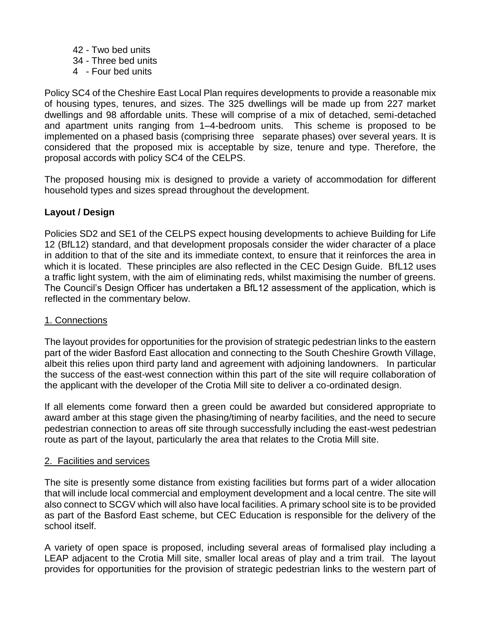- 42 Two bed units
- 34 Three bed units
- 4 Four bed units

Policy SC4 of the Cheshire East Local Plan requires developments to provide a reasonable mix of housing types, tenures, and sizes. The 325 dwellings will be made up from 227 market dwellings and 98 affordable units. These will comprise of a mix of detached, semi-detached and apartment units ranging from 1–4-bedroom units. This scheme is proposed to be implemented on a phased basis (comprising three separate phases) over several years. It is considered that the proposed mix is acceptable by size, tenure and type. Therefore, the proposal accords with policy SC4 of the CELPS.

The proposed housing mix is designed to provide a variety of accommodation for different household types and sizes spread throughout the development.

# **Layout / Design**

Policies SD2 and SE1 of the CELPS expect housing developments to achieve Building for Life 12 (BfL12) standard, and that development proposals consider the wider character of a place in addition to that of the site and its immediate context, to ensure that it reinforces the area in which it is located. These principles are also reflected in the CEC Design Guide. BfL12 uses a traffic light system, with the aim of eliminating reds, whilst maximising the number of greens. The Council's Design Officer has undertaken a BfL12 assessment of the application, which is reflected in the commentary below.

## 1. Connections

The layout provides for opportunities for the provision of strategic pedestrian links to the eastern part of the wider Basford East allocation and connecting to the South Cheshire Growth Village, albeit this relies upon third party land and agreement with adjoining landowners. In particular the success of the east-west connection within this part of the site will require collaboration of the applicant with the developer of the Crotia Mill site to deliver a co-ordinated design.

If all elements come forward then a green could be awarded but considered appropriate to award amber at this stage given the phasing/timing of nearby facilities, and the need to secure pedestrian connection to areas off site through successfully including the east-west pedestrian route as part of the layout, particularly the area that relates to the Crotia Mill site.

## 2. Facilities and services

The site is presently some distance from existing facilities but forms part of a wider allocation that will include local commercial and employment development and a local centre. The site will also connect to SCGV which will also have local facilities. A primary school site is to be provided as part of the Basford East scheme, but CEC Education is responsible for the delivery of the school itself.

A variety of open space is proposed, including several areas of formalised play including a LEAP adjacent to the Crotia Mill site, smaller local areas of play and a trim trail. The layout provides for opportunities for the provision of strategic pedestrian links to the western part of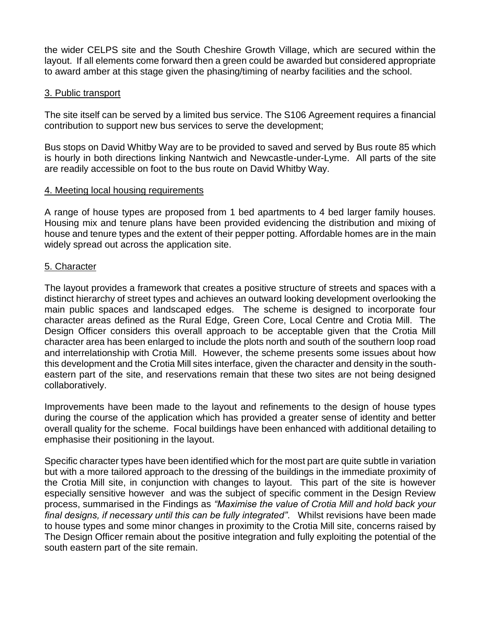the wider CELPS site and the South Cheshire Growth Village, which are secured within the layout. If all elements come forward then a green could be awarded but considered appropriate to award amber at this stage given the phasing/timing of nearby facilities and the school.

## 3. Public transport

The site itself can be served by a limited bus service. The S106 Agreement requires a financial contribution to support new bus services to serve the development;

Bus stops on David Whitby Way are to be provided to saved and served by Bus route 85 which is hourly in both directions linking Nantwich and Newcastle-under-Lyme. All parts of the site are readily accessible on foot to the bus route on David Whitby Way.

### 4. Meeting local housing requirements

A range of house types are proposed from 1 bed apartments to 4 bed larger family houses. Housing mix and tenure plans have been provided evidencing the distribution and mixing of house and tenure types and the extent of their pepper potting. Affordable homes are in the main widely spread out across the application site.

### 5. Character

The layout provides a framework that creates a positive structure of streets and spaces with a distinct hierarchy of street types and achieves an outward looking development overlooking the main public spaces and landscaped edges. The scheme is designed to incorporate four character areas defined as the Rural Edge, Green Core, Local Centre and Crotia Mill. The Design Officer considers this overall approach to be acceptable given that the Crotia Mill character area has been enlarged to include the plots north and south of the southern loop road and interrelationship with Crotia Mill. However, the scheme presents some issues about how this development and the Crotia Mill sites interface, given the character and density in the southeastern part of the site, and reservations remain that these two sites are not being designed collaboratively.

Improvements have been made to the layout and refinements to the design of house types during the course of the application which has provided a greater sense of identity and better overall quality for the scheme. Focal buildings have been enhanced with additional detailing to emphasise their positioning in the layout.

Specific character types have been identified which for the most part are quite subtle in variation but with a more tailored approach to the dressing of the buildings in the immediate proximity of the Crotia Mill site, in conjunction with changes to layout. This part of the site is however especially sensitive however and was the subject of specific comment in the Design Review process, summarised in the Findings as *"Maximise the value of Crotia Mill and hold back your final designs, if necessary until this can be fully integrated"*. Whilst revisions have been made to house types and some minor changes in proximity to the Crotia Mill site, concerns raised by The Design Officer remain about the positive integration and fully exploiting the potential of the south eastern part of the site remain.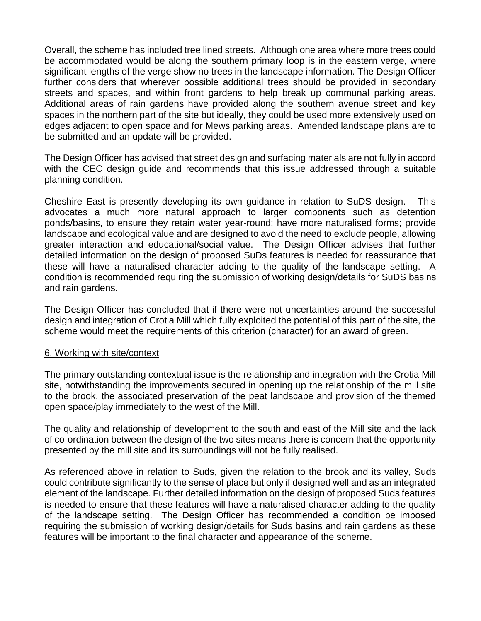Overall, the scheme has included tree lined streets. Although one area where more trees could be accommodated would be along the southern primary loop is in the eastern verge, where significant lengths of the verge show no trees in the landscape information. The Design Officer further considers that wherever possible additional trees should be provided in secondary streets and spaces, and within front gardens to help break up communal parking areas. Additional areas of rain gardens have provided along the southern avenue street and key spaces in the northern part of the site but ideally, they could be used more extensively used on edges adjacent to open space and for Mews parking areas. Amended landscape plans are to be submitted and an update will be provided.

The Design Officer has advised that street design and surfacing materials are not fully in accord with the CEC design guide and recommends that this issue addressed through a suitable planning condition.

Cheshire East is presently developing its own guidance in relation to SuDS design. This advocates a much more natural approach to larger components such as detention ponds/basins, to ensure they retain water year-round; have more naturalised forms; provide landscape and ecological value and are designed to avoid the need to exclude people, allowing greater interaction and educational/social value. The Design Officer advises that further detailed information on the design of proposed SuDs features is needed for reassurance that these will have a naturalised character adding to the quality of the landscape setting. A condition is recommended requiring the submission of working design/details for SuDS basins and rain gardens.

The Design Officer has concluded that if there were not uncertainties around the successful design and integration of Crotia Mill which fully exploited the potential of this part of the site, the scheme would meet the requirements of this criterion (character) for an award of green.

#### 6. Working with site/context

The primary outstanding contextual issue is the relationship and integration with the Crotia Mill site, notwithstanding the improvements secured in opening up the relationship of the mill site to the brook, the associated preservation of the peat landscape and provision of the themed open space/play immediately to the west of the Mill.

The quality and relationship of development to the south and east of the Mill site and the lack of co-ordination between the design of the two sites means there is concern that the opportunity presented by the mill site and its surroundings will not be fully realised.

As referenced above in relation to Suds, given the relation to the brook and its valley, Suds could contribute significantly to the sense of place but only if designed well and as an integrated element of the landscape. Further detailed information on the design of proposed Suds features is needed to ensure that these features will have a naturalised character adding to the quality of the landscape setting. The Design Officer has recommended a condition be imposed requiring the submission of working design/details for Suds basins and rain gardens as these features will be important to the final character and appearance of the scheme.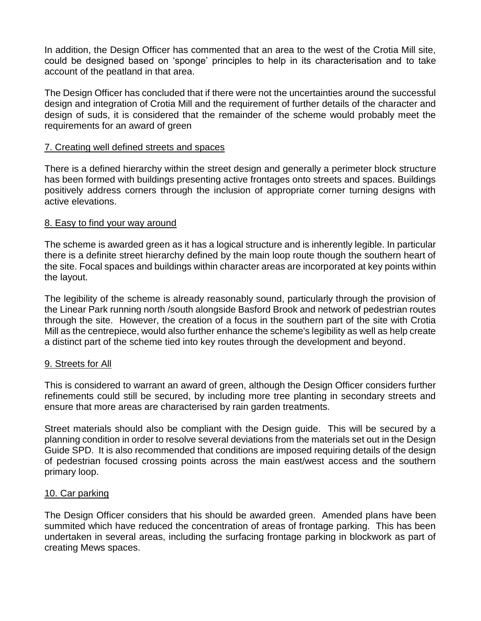In addition, the Design Officer has commented that an area to the west of the Crotia Mill site, could be designed based on 'sponge' principles to help in its characterisation and to take account of the peatland in that area.

The Design Officer has concluded that if there were not the uncertainties around the successful design and integration of Crotia Mill and the requirement of further details of the character and design of suds, it is considered that the remainder of the scheme would probably meet the requirements for an award of green

#### 7. Creating well defined streets and spaces

There is a defined hierarchy within the street design and generally a perimeter block structure has been formed with buildings presenting active frontages onto streets and spaces. Buildings positively address corners through the inclusion of appropriate corner turning designs with active elevations.

### 8. Easy to find your way around

The scheme is awarded green as it has a logical structure and is inherently legible. In particular there is a definite street hierarchy defined by the main loop route though the southern heart of the site. Focal spaces and buildings within character areas are incorporated at key points within the layout.

The legibility of the scheme is already reasonably sound, particularly through the provision of the Linear Park running north /south alongside Basford Brook and network of pedestrian routes through the site. However, the creation of a focus in the southern part of the site with Crotia Mill as the centrepiece, would also further enhance the scheme's legibility as well as help create a distinct part of the scheme tied into key routes through the development and beyond.

#### 9. Streets for All

This is considered to warrant an award of green, although the Design Officer considers further refinements could still be secured, by including more tree planting in secondary streets and ensure that more areas are characterised by rain garden treatments.

Street materials should also be compliant with the Design guide. This will be secured by a planning condition in order to resolve several deviations from the materials set out in the Design Guide SPD. It is also recommended that conditions are imposed requiring details of the design of pedestrian focused crossing points across the main east/west access and the southern primary loop.

#### 10. Car parking

The Design Officer considers that his should be awarded green. Amended plans have been summited which have reduced the concentration of areas of frontage parking. This has been undertaken in several areas, including the surfacing frontage parking in blockwork as part of creating Mews spaces.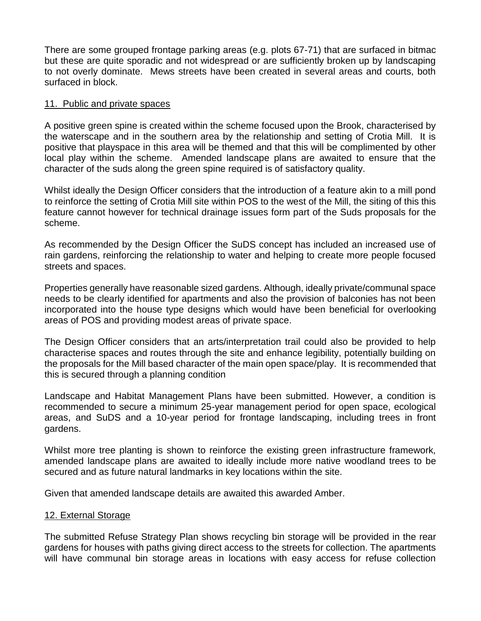There are some grouped frontage parking areas (e.g. plots 67-71) that are surfaced in bitmac but these are quite sporadic and not widespread or are sufficiently broken up by landscaping to not overly dominate. Mews streets have been created in several areas and courts, both surfaced in block.

### 11. Public and private spaces

A positive green spine is created within the scheme focused upon the Brook, characterised by the waterscape and in the southern area by the relationship and setting of Crotia Mill. It is positive that playspace in this area will be themed and that this will be complimented by other local play within the scheme. Amended landscape plans are awaited to ensure that the character of the suds along the green spine required is of satisfactory quality.

Whilst ideally the Design Officer considers that the introduction of a feature akin to a mill pond to reinforce the setting of Crotia Mill site within POS to the west of the Mill, the siting of this this feature cannot however for technical drainage issues form part of the Suds proposals for the scheme.

As recommended by the Design Officer the SuDS concept has included an increased use of rain gardens, reinforcing the relationship to water and helping to create more people focused streets and spaces.

Properties generally have reasonable sized gardens. Although, ideally private/communal space needs to be clearly identified for apartments and also the provision of balconies has not been incorporated into the house type designs which would have been beneficial for overlooking areas of POS and providing modest areas of private space.

The Design Officer considers that an arts/interpretation trail could also be provided to help characterise spaces and routes through the site and enhance legibility, potentially building on the proposals for the Mill based character of the main open space/play. It is recommended that this is secured through a planning condition

Landscape and Habitat Management Plans have been submitted. However, a condition is recommended to secure a minimum 25-year management period for open space, ecological areas, and SuDS and a 10-year period for frontage landscaping, including trees in front gardens.

Whilst more tree planting is shown to reinforce the existing green infrastructure framework, amended landscape plans are awaited to ideally include more native woodland trees to be secured and as future natural landmarks in key locations within the site.

Given that amended landscape details are awaited this awarded Amber.

#### 12. External Storage

The submitted Refuse Strategy Plan shows recycling bin storage will be provided in the rear gardens for houses with paths giving direct access to the streets for collection. The apartments will have communal bin storage areas in locations with easy access for refuse collection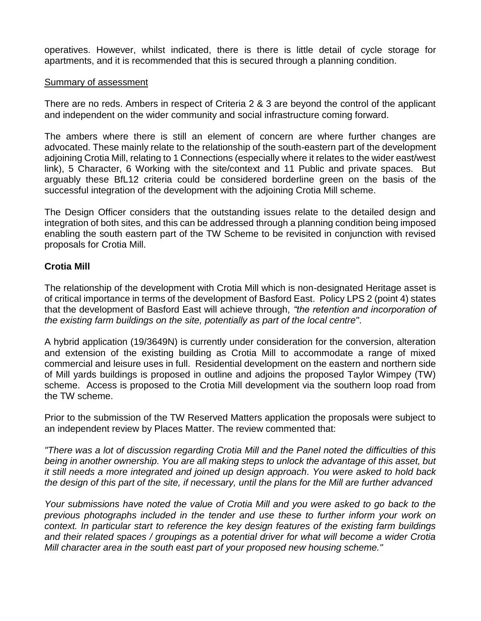operatives. However, whilst indicated, there is there is little detail of cycle storage for apartments, and it is recommended that this is secured through a planning condition.

#### Summary of assessment

There are no reds. Ambers in respect of Criteria 2 & 3 are beyond the control of the applicant and independent on the wider community and social infrastructure coming forward.

The ambers where there is still an element of concern are where further changes are advocated. These mainly relate to the relationship of the south-eastern part of the development adjoining Crotia Mill, relating to 1 Connections (especially where it relates to the wider east/west link), 5 Character, 6 Working with the site/context and 11 Public and private spaces. But arguably these BfL12 criteria could be considered borderline green on the basis of the successful integration of the development with the adjoining Crotia Mill scheme.

The Design Officer considers that the outstanding issues relate to the detailed design and integration of both sites, and this can be addressed through a planning condition being imposed enabling the south eastern part of the TW Scheme to be revisited in conjunction with revised proposals for Crotia Mill.

## **Crotia Mill**

The relationship of the development with Crotia Mill which is non-designated Heritage asset is of critical importance in terms of the development of Basford East. Policy LPS 2 (point 4) states that the development of Basford East will achieve through, *"the retention and incorporation of the existing farm buildings on the site, potentially as part of the local centre"*.

A hybrid application (19/3649N) is currently under consideration for the conversion, alteration and extension of the existing building as Crotia Mill to accommodate a range of mixed commercial and leisure uses in full. Residential development on the eastern and northern side of Mill yards buildings is proposed in outline and adjoins the proposed Taylor Wimpey (TW) scheme. Access is proposed to the Crotia Mill development via the southern loop road from the TW scheme.

Prior to the submission of the TW Reserved Matters application the proposals were subject to an independent review by Places Matter. The review commented that:

*"There was a lot of discussion regarding Crotia Mill and the Panel noted the difficulties of this being in another ownership. You are all making steps to unlock the advantage of this asset, but it still needs a more integrated and joined up design approach. You were asked to hold back the design of this part of the site, if necessary, until the plans for the Mill are further advanced* 

*Your submissions have noted the value of Crotia Mill and you were asked to go back to the previous photographs included in the tender and use these to further inform your work on context. In particular start to reference the key design features of the existing farm buildings and their related spaces / groupings as a potential driver for what will become a wider Crotia Mill character area in the south east part of your proposed new housing scheme."*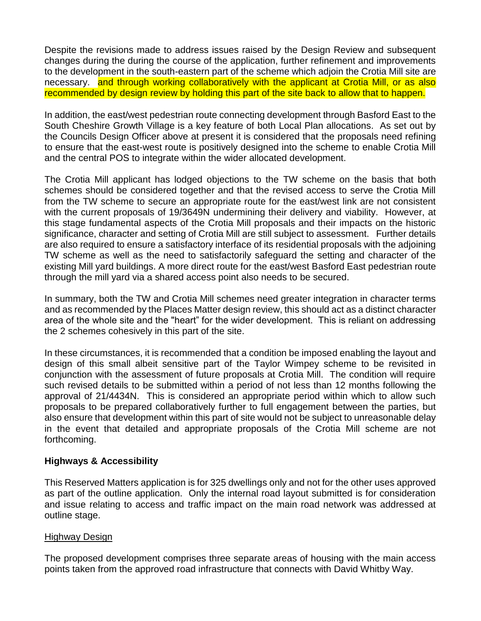Despite the revisions made to address issues raised by the Design Review and subsequent changes during the during the course of the application, further refinement and improvements to the development in the south-eastern part of the scheme which adjoin the Crotia Mill site are necessary. and through working collaboratively with the applicant at Crotia Mill, or as also recommended by design review by holding this part of the site back to allow that to happen.

In addition, the east/west pedestrian route connecting development through Basford East to the South Cheshire Growth Village is a key feature of both Local Plan allocations. As set out by the Councils Design Officer above at present it is considered that the proposals need refining to ensure that the east-west route is positively designed into the scheme to enable Crotia Mill and the central POS to integrate within the wider allocated development.

The Crotia Mill applicant has lodged objections to the TW scheme on the basis that both schemes should be considered together and that the revised access to serve the Crotia Mill from the TW scheme to secure an appropriate route for the east/west link are not consistent with the current proposals of 19/3649N undermining their delivery and viability. However, at this stage fundamental aspects of the Crotia Mill proposals and their impacts on the historic significance, character and setting of Crotia Mill are still subject to assessment. Further details are also required to ensure a satisfactory interface of its residential proposals with the adjoining TW scheme as well as the need to satisfactorily safeguard the setting and character of the existing Mill yard buildings. A more direct route for the east/west Basford East pedestrian route through the mill yard via a shared access point also needs to be secured.

In summary, both the TW and Crotia Mill schemes need greater integration in character terms and as recommended by the Places Matter design review, this should act as a distinct character area of the whole site and the "heart" for the wider development. This is reliant on addressing the 2 schemes cohesively in this part of the site.

In these circumstances, it is recommended that a condition be imposed enabling the layout and design of this small albeit sensitive part of the Taylor Wimpey scheme to be revisited in conjunction with the assessment of future proposals at Crotia Mill. The condition will require such revised details to be submitted within a period of not less than 12 months following the approval of 21/4434N. This is considered an appropriate period within which to allow such proposals to be prepared collaboratively further to full engagement between the parties, but also ensure that development within this part of site would not be subject to unreasonable delay in the event that detailed and appropriate proposals of the Crotia Mill scheme are not forthcoming.

## **Highways & Accessibility**

This Reserved Matters application is for 325 dwellings only and not for the other uses approved as part of the outline application. Only the internal road layout submitted is for consideration and issue relating to access and traffic impact on the main road network was addressed at outline stage.

## Highway Design

The proposed development comprises three separate areas of housing with the main access points taken from the approved road infrastructure that connects with David Whitby Way.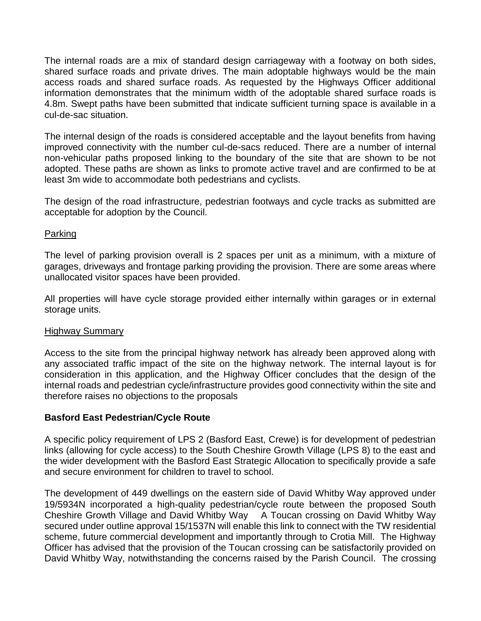The internal roads are a mix of standard design carriageway with a footway on both sides, shared surface roads and private drives. The main adoptable highways would be the main access roads and shared surface roads. As requested by the Highways Officer additional information demonstrates that the minimum width of the adoptable shared surface roads is 4.8m. Swept paths have been submitted that indicate sufficient turning space is available in a cul-de-sac situation.

The internal design of the roads is considered acceptable and the layout benefits from having improved connectivity with the number cul-de-sacs reduced. There are a number of internal non-vehicular paths proposed linking to the boundary of the site that are shown to be not adopted. These paths are shown as links to promote active travel and are confirmed to be at least 3m wide to accommodate both pedestrians and cyclists.

The design of the road infrastructure, pedestrian footways and cycle tracks as submitted are acceptable for adoption by the Council.

### Parking

The level of parking provision overall is 2 spaces per unit as a minimum, with a mixture of garages, driveways and frontage parking providing the provision. There are some areas where unallocated visitor spaces have been provided.

All properties will have cycle storage provided either internally within garages or in external storage units.

#### Highway Summary

Access to the site from the principal highway network has already been approved along with any associated traffic impact of the site on the highway network. The internal layout is for consideration in this application, and the Highway Officer concludes that the design of the internal roads and pedestrian cycle/infrastructure provides good connectivity within the site and therefore raises no objections to the proposals

## **Basford East Pedestrian/Cycle Route**

A specific policy requirement of LPS 2 (Basford East, Crewe) is for development of pedestrian links (allowing for cycle access) to the South Cheshire Growth Village (LPS 8) to the east and the wider development with the Basford East Strategic Allocation to specifically provide a safe and secure environment for children to travel to school.

The development of 449 dwellings on the eastern side of David Whitby Way approved under 19/5934N incorporated a high-quality pedestrian/cycle route between the proposed South Cheshire Growth Village and David Whitby Way A Toucan crossing on David Whitby Way secured under outline approval 15/1537N will enable this link to connect with the TW residential scheme, future commercial development and importantly through to Crotia Mill. The Highway Officer has advised that the provision of the Toucan crossing can be satisfactorily provided on David Whitby Way, notwithstanding the concerns raised by the Parish Council. The crossing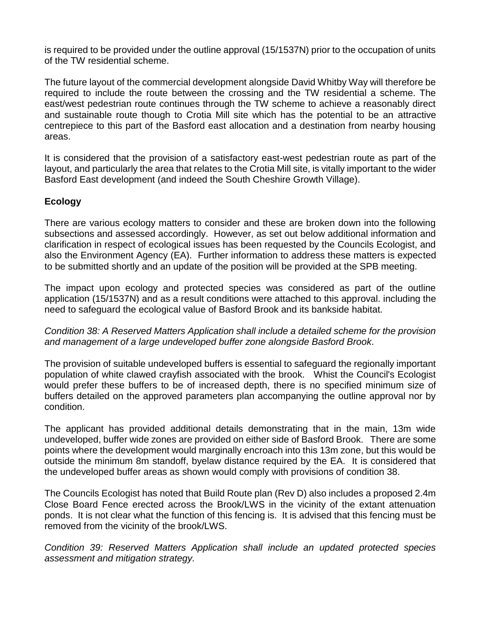is required to be provided under the outline approval (15/1537N) prior to the occupation of units of the TW residential scheme.

The future layout of the commercial development alongside David Whitby Way will therefore be required to include the route between the crossing and the TW residential a scheme. The east/west pedestrian route continues through the TW scheme to achieve a reasonably direct and sustainable route though to Crotia Mill site which has the potential to be an attractive centrepiece to this part of the Basford east allocation and a destination from nearby housing areas.

It is considered that the provision of a satisfactory east-west pedestrian route as part of the layout, and particularly the area that relates to the Crotia Mill site, is vitally important to the wider Basford East development (and indeed the South Cheshire Growth Village).

## **Ecology**

There are various ecology matters to consider and these are broken down into the following subsections and assessed accordingly. However, as set out below additional information and clarification in respect of ecological issues has been requested by the Councils Ecologist, and also the Environment Agency (EA). Further information to address these matters is expected to be submitted shortly and an update of the position will be provided at the SPB meeting.

The impact upon ecology and protected species was considered as part of the outline application (15/1537N) and as a result conditions were attached to this approval. including the need to safeguard the ecological value of Basford Brook and its bankside habitat.

*Condition 38: A Reserved Matters Application shall include a detailed scheme for the provision and management of a large undeveloped buffer zone alongside Basford Brook*.

The provision of suitable undeveloped buffers is essential to safeguard the regionally important population of white clawed crayfish associated with the brook. Whist the Council's Ecologist would prefer these buffers to be of increased depth, there is no specified minimum size of buffers detailed on the approved parameters plan accompanying the outline approval nor by condition.

The applicant has provided additional details demonstrating that in the main, 13m wide undeveloped, buffer wide zones are provided on either side of Basford Brook. There are some points where the development would marginally encroach into this 13m zone, but this would be outside the minimum 8m standoff, byelaw distance required by the EA. It is considered that the undeveloped buffer areas as shown would comply with provisions of condition 38.

The Councils Ecologist has noted that Build Route plan (Rev D) also includes a proposed 2.4m Close Board Fence erected across the Brook/LWS in the vicinity of the extant attenuation ponds. It is not clear what the function of this fencing is. It is advised that this fencing must be removed from the vicinity of the brook/LWS.

*Condition 39: Reserved Matters Application shall include an updated protected species assessment and mitigation strategy.*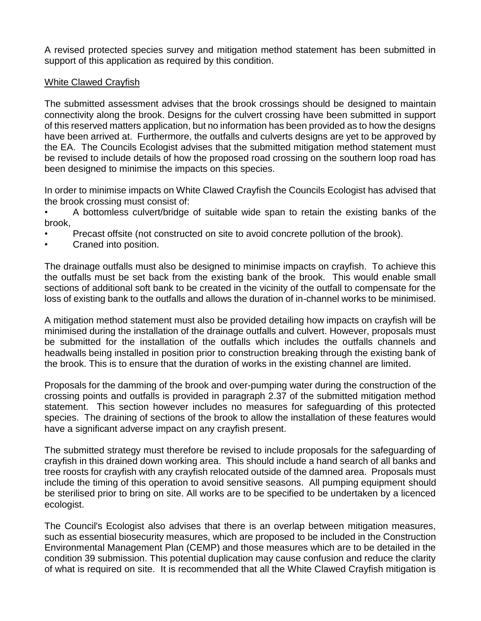A revised protected species survey and mitigation method statement has been submitted in support of this application as required by this condition.

## White Clawed Crayfish

The submitted assessment advises that the brook crossings should be designed to maintain connectivity along the brook. Designs for the culvert crossing have been submitted in support of this reserved matters application, but no information has been provided as to how the designs have been arrived at. Furthermore, the outfalls and culverts designs are yet to be approved by the EA. The Councils Ecologist advises that the submitted mitigation method statement must be revised to include details of how the proposed road crossing on the southern loop road has been designed to minimise the impacts on this species.

In order to minimise impacts on White Clawed Crayfish the Councils Ecologist has advised that the brook crossing must consist of:

• A bottomless culvert/bridge of suitable wide span to retain the existing banks of the brook,

- Precast offsite (not constructed on site to avoid concrete pollution of the brook).
- Craned into position.

The drainage outfalls must also be designed to minimise impacts on crayfish. To achieve this the outfalls must be set back from the existing bank of the brook. This would enable small sections of additional soft bank to be created in the vicinity of the outfall to compensate for the loss of existing bank to the outfalls and allows the duration of in-channel works to be minimised.

A mitigation method statement must also be provided detailing how impacts on crayfish will be minimised during the installation of the drainage outfalls and culvert. However, proposals must be submitted for the installation of the outfalls which includes the outfalls channels and headwalls being installed in position prior to construction breaking through the existing bank of the brook. This is to ensure that the duration of works in the existing channel are limited.

Proposals for the damming of the brook and over-pumping water during the construction of the crossing points and outfalls is provided in paragraph 2.37 of the submitted mitigation method statement. This section however includes no measures for safeguarding of this protected species. The draining of sections of the brook to allow the installation of these features would have a significant adverse impact on any crayfish present.

The submitted strategy must therefore be revised to include proposals for the safeguarding of crayfish in this drained down working area. This should include a hand search of all banks and tree roosts for crayfish with any crayfish relocated outside of the damned area. Proposals must include the timing of this operation to avoid sensitive seasons. All pumping equipment should be sterilised prior to bring on site. All works are to be specified to be undertaken by a licenced ecologist.

The Council's Ecologist also advises that there is an overlap between mitigation measures, such as essential biosecurity measures, which are proposed to be included in the Construction Environmental Management Plan (CEMP) and those measures which are to be detailed in the condition 39 submission. This potential duplication may cause confusion and reduce the clarity of what is required on site. It is recommended that all the White Clawed Crayfish mitigation is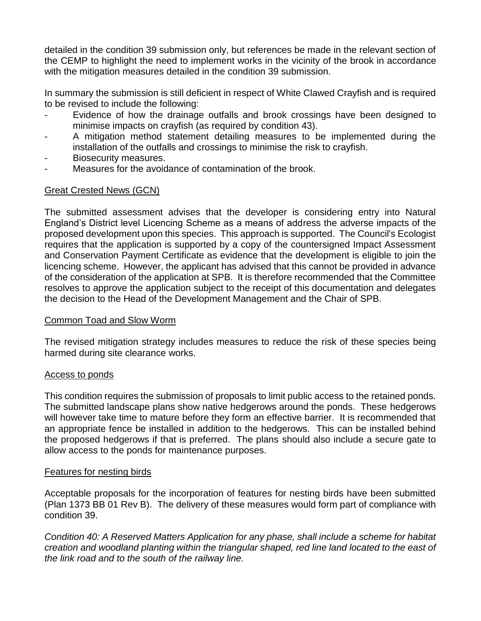detailed in the condition 39 submission only, but references be made in the relevant section of the CEMP to highlight the need to implement works in the vicinity of the brook in accordance with the mitigation measures detailed in the condition 39 submission.

In summary the submission is still deficient in respect of White Clawed Crayfish and is required to be revised to include the following:

- Evidence of how the drainage outfalls and brook crossings have been designed to minimise impacts on crayfish (as required by condition 43).
- A mitigation method statement detailing measures to be implemented during the installation of the outfalls and crossings to minimise the risk to crayfish.
- Biosecurity measures.
- Measures for the avoidance of contamination of the brook.

## Great Crested News (GCN)

The submitted assessment advises that the developer is considering entry into Natural England's District level Licencing Scheme as a means of address the adverse impacts of the proposed development upon this species. This approach is supported. The Council's Ecologist requires that the application is supported by a copy of the countersigned Impact Assessment and Conservation Payment Certificate as evidence that the development is eligible to join the licencing scheme. However, the applicant has advised that this cannot be provided in advance of the consideration of the application at SPB. It is therefore recommended that the Committee resolves to approve the application subject to the receipt of this documentation and delegates the decision to the Head of the Development Management and the Chair of SPB.

#### Common Toad and Slow Worm

The revised mitigation strategy includes measures to reduce the risk of these species being harmed during site clearance works.

#### Access to ponds

This condition requires the submission of proposals to limit public access to the retained ponds. The submitted landscape plans show native hedgerows around the ponds. These hedgerows will however take time to mature before they form an effective barrier. It is recommended that an appropriate fence be installed in addition to the hedgerows. This can be installed behind the proposed hedgerows if that is preferred. The plans should also include a secure gate to allow access to the ponds for maintenance purposes.

#### Features for nesting birds

Acceptable proposals for the incorporation of features for nesting birds have been submitted (Plan 1373 BB 01 Rev B). The delivery of these measures would form part of compliance with condition 39.

*Condition 40: A Reserved Matters Application for any phase, shall include a scheme for habitat creation and woodland planting within the triangular shaped, red line land located to the east of the link road and to the south of the railway line.*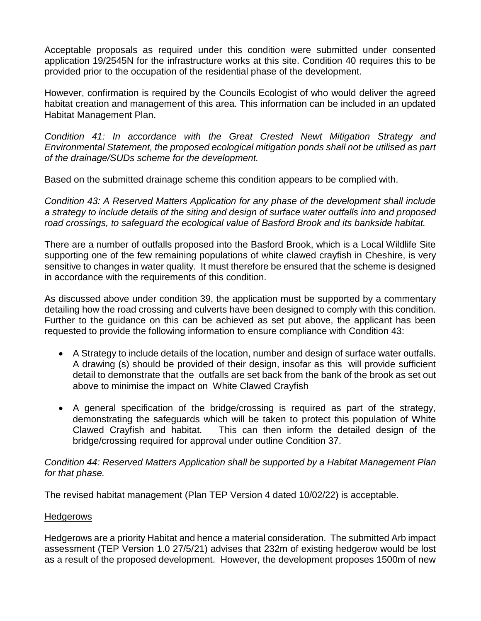Acceptable proposals as required under this condition were submitted under consented application 19/2545N for the infrastructure works at this site. Condition 40 requires this to be provided prior to the occupation of the residential phase of the development.

However, confirmation is required by the Councils Ecologist of who would deliver the agreed habitat creation and management of this area. This information can be included in an updated Habitat Management Plan.

*Condition 41: In accordance with the Great Crested Newt Mitigation Strategy and Environmental Statement, the proposed ecological mitigation ponds shall not be utilised as part of the drainage/SUDs scheme for the development.* 

Based on the submitted drainage scheme this condition appears to be complied with.

*Condition 43: A Reserved Matters Application for any phase of the development shall include a strategy to include details of the siting and design of surface water outfalls into and proposed road crossings, to safeguard the ecological value of Basford Brook and its bankside habitat.* 

There are a number of outfalls proposed into the Basford Brook, which is a Local Wildlife Site supporting one of the few remaining populations of white clawed crayfish in Cheshire, is very sensitive to changes in water quality. It must therefore be ensured that the scheme is designed in accordance with the requirements of this condition.

As discussed above under condition 39, the application must be supported by a commentary detailing how the road crossing and culverts have been designed to comply with this condition. Further to the guidance on this can be achieved as set put above, the applicant has been requested to provide the following information to ensure compliance with Condition 43:

- A Strategy to include details of the location, number and design of surface water outfalls. A drawing (s) should be provided of their design, insofar as this will provide sufficient detail to demonstrate that the outfalls are set back from the bank of the brook as set out above to minimise the impact on White Clawed Crayfish
- A general specification of the bridge/crossing is required as part of the strategy, demonstrating the safeguards which will be taken to protect this population of White Clawed Crayfish and habitat. This can then inform the detailed design of the bridge/crossing required for approval under outline Condition 37.

## *Condition 44: Reserved Matters Application shall be supported by a Habitat Management Plan for that phase.*

The revised habitat management (Plan TEP Version 4 dated 10/02/22) is acceptable.

## **Hedgerows**

Hedgerows are a priority Habitat and hence a material consideration. The submitted Arb impact assessment (TEP Version 1.0 27/5/21) advises that 232m of existing hedgerow would be lost as a result of the proposed development. However, the development proposes 1500m of new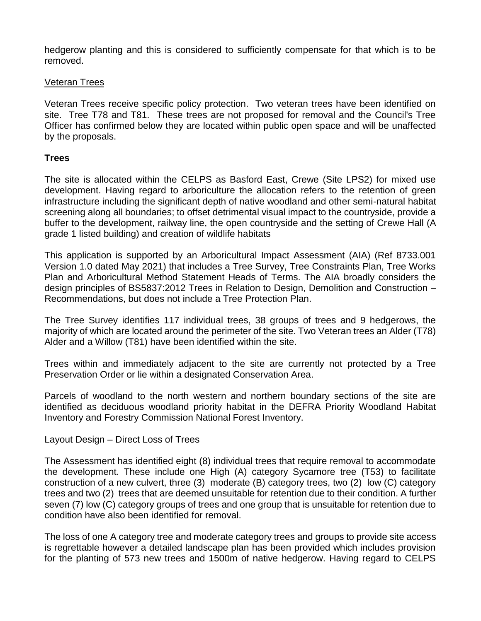hedgerow planting and this is considered to sufficiently compensate for that which is to be removed.

## Veteran Trees

Veteran Trees receive specific policy protection. Two veteran trees have been identified on site. Tree T78 and T81. These trees are not proposed for removal and the Council's Tree Officer has confirmed below they are located within public open space and will be unaffected by the proposals.

## **Trees**

The site is allocated within the CELPS as Basford East, Crewe (Site LPS2) for mixed use development. Having regard to arboriculture the allocation refers to the retention of green infrastructure including the significant depth of native woodland and other semi-natural habitat screening along all boundaries; to offset detrimental visual impact to the countryside, provide a buffer to the development, railway line, the open countryside and the setting of Crewe Hall (A grade 1 listed building) and creation of wildlife habitats

This application is supported by an Arboricultural Impact Assessment (AIA) (Ref 8733.001 Version 1.0 dated May 2021) that includes a Tree Survey, Tree Constraints Plan, Tree Works Plan and Arboricultural Method Statement Heads of Terms. The AIA broadly considers the design principles of BS5837:2012 Trees in Relation to Design, Demolition and Construction – Recommendations, but does not include a Tree Protection Plan.

The Tree Survey identifies 117 individual trees, 38 groups of trees and 9 hedgerows, the majority of which are located around the perimeter of the site. Two Veteran trees an Alder (T78) Alder and a Willow (T81) have been identified within the site.

Trees within and immediately adjacent to the site are currently not protected by a Tree Preservation Order or lie within a designated Conservation Area.

Parcels of woodland to the north western and northern boundary sections of the site are identified as deciduous woodland priority habitat in the DEFRA Priority Woodland Habitat Inventory and Forestry Commission National Forest Inventory.

#### Layout Design – Direct Loss of Trees

The Assessment has identified eight (8) individual trees that require removal to accommodate the development. These include one High (A) category Sycamore tree (T53) to facilitate construction of a new culvert, three (3) moderate (B) category trees, two (2) low (C) category trees and two (2) trees that are deemed unsuitable for retention due to their condition. A further seven (7) low (C) category groups of trees and one group that is unsuitable for retention due to condition have also been identified for removal.

The loss of one A category tree and moderate category trees and groups to provide site access is regrettable however a detailed landscape plan has been provided which includes provision for the planting of 573 new trees and 1500m of native hedgerow. Having regard to CELPS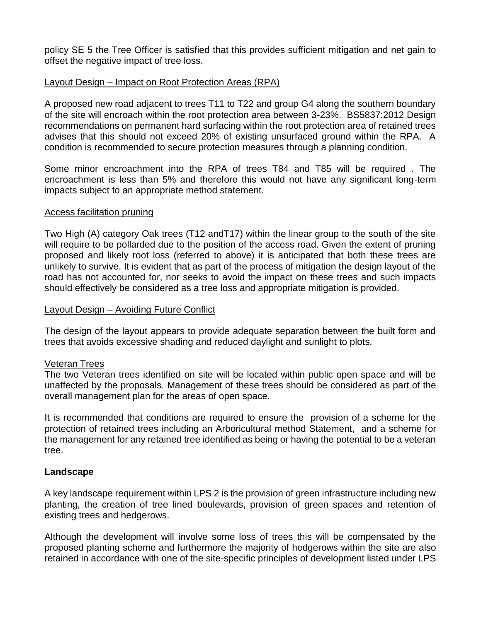policy SE 5 the Tree Officer is satisfied that this provides sufficient mitigation and net gain to offset the negative impact of tree loss.

## Layout Design – Impact on Root Protection Areas (RPA)

A proposed new road adjacent to trees T11 to T22 and group G4 along the southern boundary of the site will encroach within the root protection area between 3-23%. BS5837:2012 Design recommendations on permanent hard surfacing within the root protection area of retained trees advises that this should not exceed 20% of existing unsurfaced ground within the RPA. A condition is recommended to secure protection measures through a planning condition.

Some minor encroachment into the RPA of trees T84 and T85 will be required . The encroachment is less than 5% and therefore this would not have any significant long-term impacts subject to an appropriate method statement.

#### Access facilitation pruning

Two High (A) category Oak trees (T12 andT17) within the linear group to the south of the site will require to be pollarded due to the position of the access road. Given the extent of pruning proposed and likely root loss (referred to above) it is anticipated that both these trees are unlikely to survive. It is evident that as part of the process of mitigation the design layout of the road has not accounted for, nor seeks to avoid the impact on these trees and such impacts should effectively be considered as a tree loss and appropriate mitigation is provided.

#### Layout Design – Avoiding Future Conflict

The design of the layout appears to provide adequate separation between the built form and trees that avoids excessive shading and reduced daylight and sunlight to plots.

#### Veteran Trees

The two Veteran trees identified on site will be located within public open space and will be unaffected by the proposals. Management of these trees should be considered as part of the overall management plan for the areas of open space.

It is recommended that conditions are required to ensure the provision of a scheme for the protection of retained trees including an Arboricultural method Statement, and a scheme for the management for any retained tree identified as being or having the potential to be a veteran tree.

## **Landscape**

A key landscape requirement within LPS 2 is the provision of green infrastructure including new planting, the creation of tree lined boulevards, provision of green spaces and retention of existing trees and hedgerows.

Although the development will involve some loss of trees this will be compensated by the proposed planting scheme and furthermore the majority of hedgerows within the site are also retained in accordance with one of the site-specific principles of development listed under LPS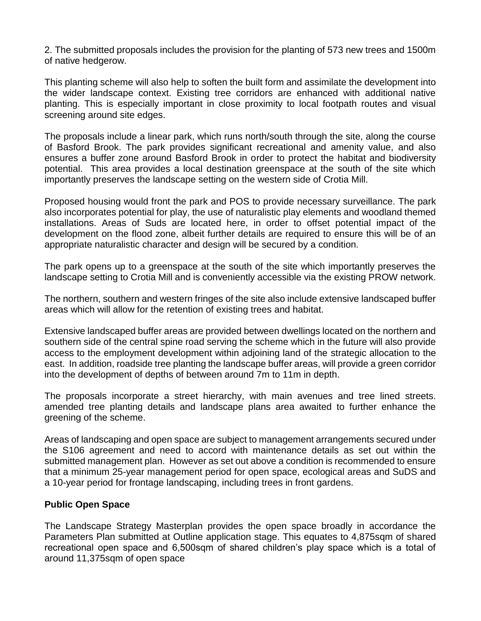2. The submitted proposals includes the provision for the planting of 573 new trees and 1500m of native hedgerow.

This planting scheme will also help to soften the built form and assimilate the development into the wider landscape context. Existing tree corridors are enhanced with additional native planting. This is especially important in close proximity to local footpath routes and visual screening around site edges.

The proposals include a linear park, which runs north/south through the site, along the course of Basford Brook. The park provides significant recreational and amenity value, and also ensures a buffer zone around Basford Brook in order to protect the habitat and biodiversity potential. This area provides a local destination greenspace at the south of the site which importantly preserves the landscape setting on the western side of Crotia Mill.

Proposed housing would front the park and POS to provide necessary surveillance. The park also incorporates potential for play, the use of naturalistic play elements and woodland themed installations. Areas of Suds are located here, in order to offset potential impact of the development on the flood zone, albeit further details are required to ensure this will be of an appropriate naturalistic character and design will be secured by a condition.

The park opens up to a greenspace at the south of the site which importantly preserves the landscape setting to Crotia Mill and is conveniently accessible via the existing PROW network.

The northern, southern and western fringes of the site also include extensive landscaped buffer areas which will allow for the retention of existing trees and habitat.

Extensive landscaped buffer areas are provided between dwellings located on the northern and southern side of the central spine road serving the scheme which in the future will also provide access to the employment development within adjoining land of the strategic allocation to the east. In addition, roadside tree planting the landscape buffer areas, will provide a green corridor into the development of depths of between around 7m to 11m in depth.

The proposals incorporate a street hierarchy, with main avenues and tree lined streets. amended tree planting details and landscape plans area awaited to further enhance the greening of the scheme.

Areas of landscaping and open space are subject to management arrangements secured under the S106 agreement and need to accord with maintenance details as set out within the submitted management plan. However as set out above a condition is recommended to ensure that a minimum 25-year management period for open space, ecological areas and SuDS and a 10-year period for frontage landscaping, including trees in front gardens.

## **Public Open Space**

The Landscape Strategy Masterplan provides the open space broadly in accordance the Parameters Plan submitted at Outline application stage. This equates to 4,875sqm of shared recreational open space and 6,500sqm of shared children's play space which is a total of around 11,375sqm of open space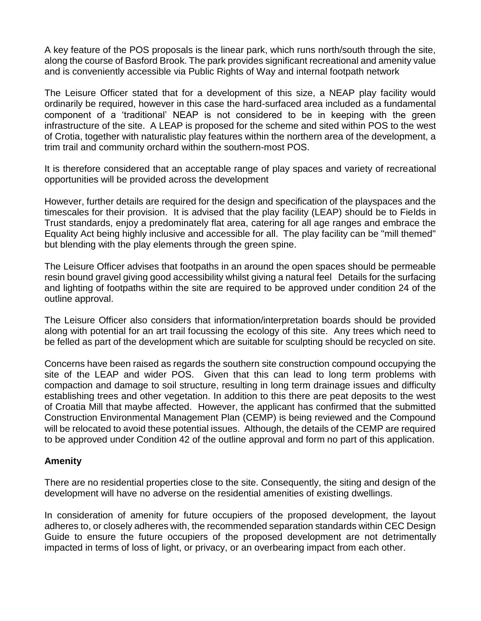A key feature of the POS proposals is the linear park, which runs north/south through the site, along the course of Basford Brook. The park provides significant recreational and amenity value and is conveniently accessible via Public Rights of Way and internal footpath network

The Leisure Officer stated that for a development of this size, a NEAP play facility would ordinarily be required, however in this case the hard-surfaced area included as a fundamental component of a 'traditional' NEAP is not considered to be in keeping with the green infrastructure of the site. A LEAP is proposed for the scheme and sited within POS to the west of Crotia, together with naturalistic play features within the northern area of the development, a trim trail and community orchard within the southern-most POS.

It is therefore considered that an acceptable range of play spaces and variety of recreational opportunities will be provided across the development

However, further details are required for the design and specification of the playspaces and the timescales for their provision. It is advised that the play facility (LEAP) should be to Fields in Trust standards, enjoy a predominately flat area, catering for all age ranges and embrace the Equality Act being highly inclusive and accessible for all. The play facility can be "mill themed" but blending with the play elements through the green spine.

The Leisure Officer advises that footpaths in an around the open spaces should be permeable resin bound gravel giving good accessibility whilst giving a natural feel Details for the surfacing and lighting of footpaths within the site are required to be approved under condition 24 of the outline approval.

The Leisure Officer also considers that information/interpretation boards should be provided along with potential for an art trail focussing the ecology of this site. Any trees which need to be felled as part of the development which are suitable for sculpting should be recycled on site.

Concerns have been raised as regards the southern site construction compound occupying the site of the LEAP and wider POS. Given that this can lead to long term problems with compaction and damage to soil structure, resulting in long term drainage issues and difficulty establishing trees and other vegetation. In addition to this there are peat deposits to the west of Croatia Mill that maybe affected. However, the applicant has confirmed that the submitted Construction Environmental Management Plan (CEMP) is being reviewed and the Compound will be relocated to avoid these potential issues. Although, the details of the CEMP are required to be approved under Condition 42 of the outline approval and form no part of this application.

## **Amenity**

There are no residential properties close to the site. Consequently, the siting and design of the development will have no adverse on the residential amenities of existing dwellings.

In consideration of amenity for future occupiers of the proposed development, the layout adheres to, or closely adheres with, the recommended separation standards within CEC Design Guide to ensure the future occupiers of the proposed development are not detrimentally impacted in terms of loss of light, or privacy, or an overbearing impact from each other.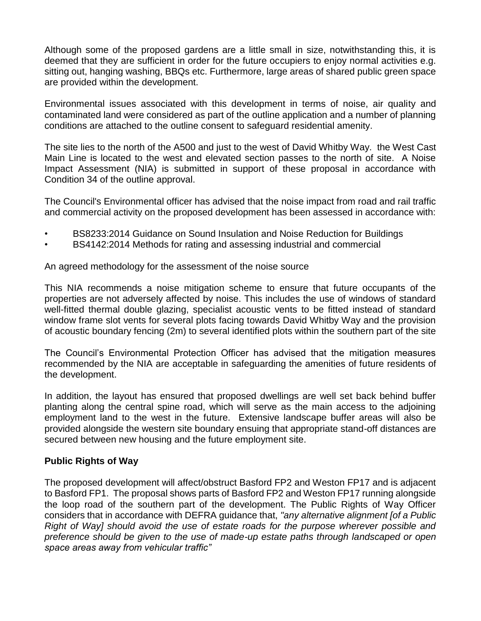Although some of the proposed gardens are a little small in size, notwithstanding this, it is deemed that they are sufficient in order for the future occupiers to enjoy normal activities e.g. sitting out, hanging washing, BBQs etc. Furthermore, large areas of shared public green space are provided within the development.

Environmental issues associated with this development in terms of noise, air quality and contaminated land were considered as part of the outline application and a number of planning conditions are attached to the outline consent to safeguard residential amenity.

The site lies to the north of the A500 and just to the west of David Whitby Way. the West Cast Main Line is located to the west and elevated section passes to the north of site. A Noise Impact Assessment (NIA) is submitted in support of these proposal in accordance with Condition 34 of the outline approval.

The Council's Environmental officer has advised that the noise impact from road and rail traffic and commercial activity on the proposed development has been assessed in accordance with:

- BS8233:2014 Guidance on Sound Insulation and Noise Reduction for Buildings
- BS4142:2014 Methods for rating and assessing industrial and commercial

An agreed methodology for the assessment of the noise source

This NIA recommends a noise mitigation scheme to ensure that future occupants of the properties are not adversely affected by noise. This includes the use of windows of standard well-fitted thermal double glazing, specialist acoustic vents to be fitted instead of standard window frame slot vents for several plots facing towards David Whitby Way and the provision of acoustic boundary fencing (2m) to several identified plots within the southern part of the site

The Council's Environmental Protection Officer has advised that the mitigation measures recommended by the NIA are acceptable in safeguarding the amenities of future residents of the development.

In addition, the layout has ensured that proposed dwellings are well set back behind buffer planting along the central spine road, which will serve as the main access to the adjoining employment land to the west in the future. Extensive landscape buffer areas will also be provided alongside the western site boundary ensuing that appropriate stand-off distances are secured between new housing and the future employment site.

## **Public Rights of Way**

The proposed development will affect/obstruct Basford FP2 and Weston FP17 and is adjacent to Basford FP1. The proposal shows parts of Basford FP2 and Weston FP17 running alongside the loop road of the southern part of the development. The Public Rights of Way Officer considers that in accordance with DEFRA guidance that, *"any alternative alignment [of a Public Right of Way] should avoid the use of estate roads for the purpose wherever possible and preference should be given to the use of made-up estate paths through landscaped or open space areas away from vehicular traffic"*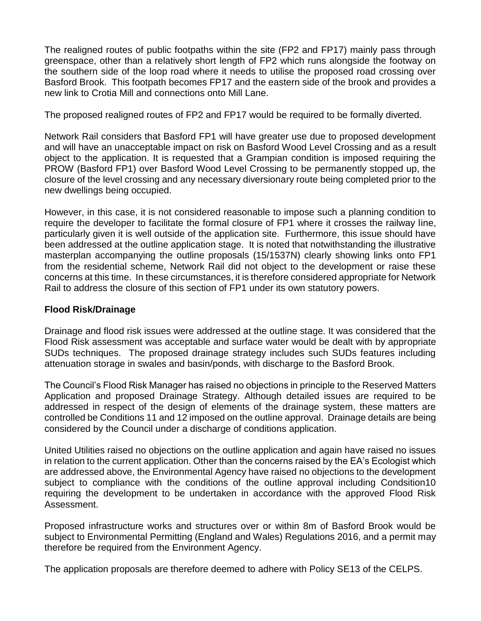The realigned routes of public footpaths within the site (FP2 and FP17) mainly pass through greenspace, other than a relatively short length of FP2 which runs alongside the footway on the southern side of the loop road where it needs to utilise the proposed road crossing over Basford Brook. This footpath becomes FP17 and the eastern side of the brook and provides a new link to Crotia Mill and connections onto Mill Lane.

The proposed realigned routes of FP2 and FP17 would be required to be formally diverted.

Network Rail considers that Basford FP1 will have greater use due to proposed development and will have an unacceptable impact on risk on Basford Wood Level Crossing and as a result object to the application. It is requested that a Grampian condition is imposed requiring the PROW (Basford FP1) over Basford Wood Level Crossing to be permanently stopped up, the closure of the level crossing and any necessary diversionary route being completed prior to the new dwellings being occupied.

However, in this case, it is not considered reasonable to impose such a planning condition to require the developer to facilitate the formal closure of FP1 where it crosses the railway line, particularly given it is well outside of the application site. Furthermore, this issue should have been addressed at the outline application stage. It is noted that notwithstanding the illustrative masterplan accompanying the outline proposals (15/1537N) clearly showing links onto FP1 from the residential scheme, Network Rail did not object to the development or raise these concerns at this time. In these circumstances, it is therefore considered appropriate for Network Rail to address the closure of this section of FP1 under its own statutory powers.

# **Flood Risk/Drainage**

Drainage and flood risk issues were addressed at the outline stage. It was considered that the Flood Risk assessment was acceptable and surface water would be dealt with by appropriate SUDs techniques. The proposed drainage strategy includes such SUDs features including attenuation storage in swales and basin/ponds, with discharge to the Basford Brook.

The Council's Flood Risk Manager has raised no objections in principle to the Reserved Matters Application and proposed Drainage Strategy. Although detailed issues are required to be addressed in respect of the design of elements of the drainage system, these matters are controlled be Conditions 11 and 12 imposed on the outline approval. Drainage details are being considered by the Council under a discharge of conditions application.

United Utilities raised no objections on the outline application and again have raised no issues in relation to the current application. Other than the concerns raised by the EA's Ecologist which are addressed above, the Environmental Agency have raised no objections to the development subject to compliance with the conditions of the outline approval including Condsition10 requiring the development to be undertaken in accordance with the approved Flood Risk Assessment.

Proposed infrastructure works and structures over or within 8m of Basford Brook would be subject to Environmental Permitting (England and Wales) Regulations 2016, and a permit may therefore be required from the Environment Agency.

The application proposals are therefore deemed to adhere with Policy SE13 of the CELPS.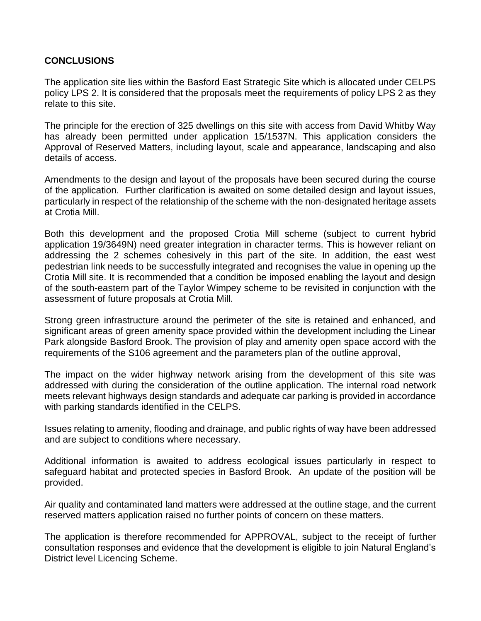## **CONCLUSIONS**

The application site lies within the Basford East Strategic Site which is allocated under CELPS policy LPS 2. It is considered that the proposals meet the requirements of policy LPS 2 as they relate to this site.

The principle for the erection of 325 dwellings on this site with access from David Whitby Way has already been permitted under application 15/1537N. This application considers the Approval of Reserved Matters, including layout, scale and appearance, landscaping and also details of access.

Amendments to the design and layout of the proposals have been secured during the course of the application. Further clarification is awaited on some detailed design and layout issues, particularly in respect of the relationship of the scheme with the non-designated heritage assets at Crotia Mill.

Both this development and the proposed Crotia Mill scheme (subject to current hybrid application 19/3649N) need greater integration in character terms. This is however reliant on addressing the 2 schemes cohesively in this part of the site. In addition, the east west pedestrian link needs to be successfully integrated and recognises the value in opening up the Crotia Mill site. It is recommended that a condition be imposed enabling the layout and design of the south-eastern part of the Taylor Wimpey scheme to be revisited in conjunction with the assessment of future proposals at Crotia Mill.

Strong green infrastructure around the perimeter of the site is retained and enhanced, and significant areas of green amenity space provided within the development including the Linear Park alongside Basford Brook. The provision of play and amenity open space accord with the requirements of the S106 agreement and the parameters plan of the outline approval,

The impact on the wider highway network arising from the development of this site was addressed with during the consideration of the outline application. The internal road network meets relevant highways design standards and adequate car parking is provided in accordance with parking standards identified in the CELPS.

Issues relating to amenity, flooding and drainage, and public rights of way have been addressed and are subject to conditions where necessary.

Additional information is awaited to address ecological issues particularly in respect to safeguard habitat and protected species in Basford Brook. An update of the position will be provided.

Air quality and contaminated land matters were addressed at the outline stage, and the current reserved matters application raised no further points of concern on these matters.

The application is therefore recommended for APPROVAL, subject to the receipt of further consultation responses and evidence that the development is eligible to join Natural England's District level Licencing Scheme.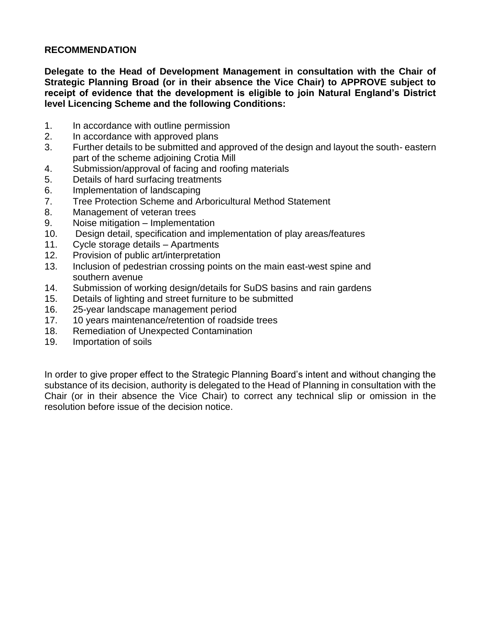## **RECOMMENDATION**

**Delegate to the Head of Development Management in consultation with the Chair of Strategic Planning Broad (or in their absence the Vice Chair) to APPROVE subject to receipt of evidence that the development is eligible to join Natural England's District level Licencing Scheme and the following Conditions:**

- 1. In accordance with outline permission
- 2. In accordance with approved plans
- 3. Further details to be submitted and approved of the design and layout the south- eastern part of the scheme adjoining Crotia Mill
- 4. Submission/approval of facing and roofing materials
- 5. Details of hard surfacing treatments
- 6. Implementation of landscaping
- 7. Tree Protection Scheme and Arboricultural Method Statement
- 8. Management of veteran trees
- 9. Noise mitigation Implementation
- 10. Design detail, specification and implementation of play areas/features
- 11. Cycle storage details Apartments
- 12. Provision of public art/interpretation
- 13. Inclusion of pedestrian crossing points on the main east-west spine and southern avenue
- 14. Submission of working design/details for SuDS basins and rain gardens
- 15. Details of lighting and street furniture to be submitted
- 16. 25-year landscape management period
- 17. 10 years maintenance/retention of roadside trees
- 18. Remediation of Unexpected Contamination
- 19. Importation of soils

In order to give proper effect to the Strategic Planning Board's intent and without changing the substance of its decision, authority is delegated to the Head of Planning in consultation with the Chair (or in their absence the Vice Chair) to correct any technical slip or omission in the resolution before issue of the decision notice.